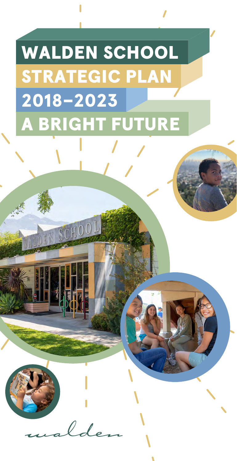## WALDEN SCHOOL STRATEGIC PLAN 2018–2023 A BRIGHT FUTURE

 $l_{\rm d}$ 

ALDEN SCHOOL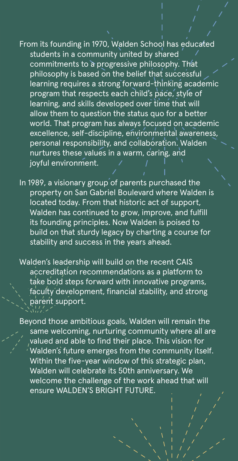From its founding in 1970, Walden School has educated students in a community united by shared commitments to a progressive philosophy. That philosophy is based on the belief that successful learning requires a strong forward-thinking academic program that respects each child's pace, style of learning, and skills developed over time that will allow them to question the status quo for a better world. That program has always focused on academic excellence, self-discipline, environmental awareness, personal responsibility, and collaboration. Walden nurtures these values in a warm, caring, and joyful environment.

In 1989, a visionary group of parents purchased the property on San Gabriel Boulevard where Walden is located today. From that historic act of support, Walden has continued to grow, improve, and fulfill its founding principles. Now Walden is poised to build on that sturdy legacy by charting a course for stability and success in the years ahead.

Walden's leadership will build on the recent CAIS accreditation recommendations as a platform to take bold steps forward with innovative programs, faculty development, financial stability, and strong parent support.

Beyond those ambitious goals, Walden will remain the same welcoming, nurturing community where all are valued and able to find their place. This vision for Walden's future emerges from the community itself. Within the five-year window of this strategic plan, Walden will celebrate its 50th anniversary. We welcome the challenge of the work ahead that will ensure WALDEN'S BRIGHT FUTURE.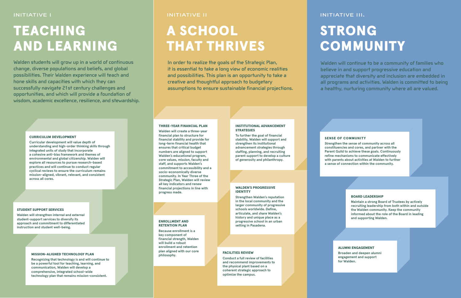## TEACHING AND LEARNING

## A SCHOOL THAT THRIVES

**In order to realize the goals of the Strategic Plan, it is essential to take a long view of economic realities and possibilities. This plan is an opportunity to take a creative and thoughtful approach to budgetary assumptions to ensure sustainable financial projections.**

# STRONG **COMMUNITY**

**Walden will continue to be a community of families who believe in and support progressive education and appreciate that diversity and inclusion are embedded in all programs and activities. Walden is committed to being a healthy, nurturing community where all are valued.**

**Because enrollment is a key component of financial strength, Walden will build a robust enrollment and retention plan aligned with our core**<br>**plan aligned with our core philosophy. philosophy. philosophy.** 

**Walden students will grow up in a world of continuous change, diverse populations and beliefs, and global possibilities. Their Walden experience will teach and hone skills and capacities with which they can successfully navigate 21st century challenges and opportunities, and which will provide a foundation of wisdom, academic excellence, resilience, and stewardship.** 

## INITIATIVE I INITIATIVE III. INITIATIVE II INITIATIVE III. INITIATIVE III.

## ENROLLMENT AND RETENTION PLAN

## INSTITUTIONAL ADVANCEMENT **STRATEGIES**

**Recognizing that technology is and will continue to be a powerful tool for teaching, learning, and communication, Walden will develop a comprehensive, integrated school-wide technology plan that remains mission-consistent.** 

## STUDENT SUPPORT SERVICES

**Walden will strengthen internal and external student-support services to diversify its approach and commitment to differentiated instruction and student well-being.** 

### CURRICULUM DEVELOPMENT

**Curricular development will value depth of understanding and high-order thinking skills through integrated units of study that incorporate a cohesive anti-bias framework and themes of environmental and global citizenship. Walden will explore all resources to pursue research-based practices and will continue to conduct regular cyclical reviews to ensure the curriculum remains mission-aligned, vibrant, relevant, and consistent across all cores.** 

### THREE-YEAR FINANCIAL PLAN

**Walden will create a three-year financial plan to structure for financial stability and provide for long-term financial health that ensures that critical budget numbers are aligned to support Walden's educational program, core values, mission, faculty and staff, and supports Walden's commitment to accessibility and a socio-economically diverse community. In Year Three of the Strategic Plan, Walden will review all key indicators and renew financial projections in line with progress made.** 

**To further the goal of financial stability, Walden will support and strengthen its institutional advancement strategies through staffing, planning, and recruiting parent support to develop a culture of generosity and philanthropy.**

### WALDEN'S PROGRESSIVE IDENTITY

**Strengthen Walden's reputation in the local community and the larger community of progressive schools worldwide. Define, articulate, and share Walden's history and unique place as a progressive school in an urban setting in Pasadena.** 

## FACILITIES REVIEW

**Conduct a full review of facilities and recommend improvements to the physical plant based on a coherent strategic approach to optimize the campus.**

## SENSE OF COMMUNITY

**Strengthen the sense of community across all constituencies and cores, and partner with the Parent Guild to achieve these goals. Continuously refine mechanisms to communicate effectively with parents about activities at Walden to further a sense of connection within the community.** 

## BOARD LEADERSHIP

**Maintain a strong Board of Trustees by actively recruiting leadership from both within and outside the Walden community. Keep the community informed about the role of the Board in leading and supporting Walden.** 

## ALUMNI ENGAGEMENT

**Broaden and deepen alumni engagement and support for Walden.**